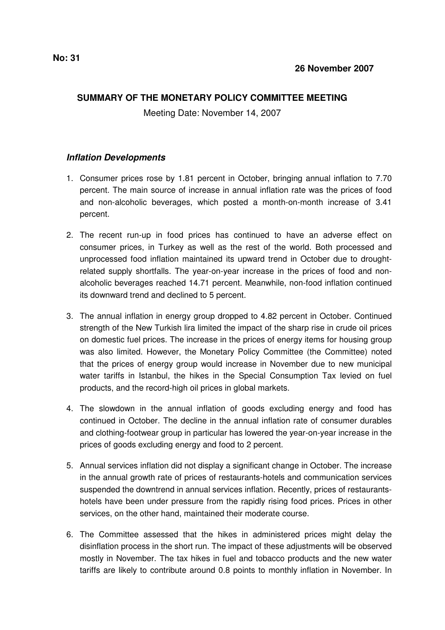## **SUMMARY OF THE MONETARY POLICY COMMITTEE MEETING**

Meeting Date: November 14, 2007

## *Inflation Developments*

- 1. Consumer prices rose by 1.81 percent in October, bringing annual inflation to 7.70 percent. The main source of increase in annual inflation rate was the prices of food and non-alcoholic beverages, which posted a month-on-month increase of 3.41 percent.
- 2. The recent run-up in food prices has continued to have an adverse effect on consumer prices, in Turkey as well as the rest of the world. Both processed and unprocessed food inflation maintained its upward trend in October due to droughtrelated supply shortfalls. The year-on-year increase in the prices of food and nonalcoholic beverages reached 14.71 percent. Meanwhile, non-food inflation continued its downward trend and declined to 5 percent.
- 3. The annual inflation in energy group dropped to 4.82 percent in October. Continued strength of the New Turkish lira limited the impact of the sharp rise in crude oil prices on domestic fuel prices. The increase in the prices of energy items for housing group was also limited. However, the Monetary Policy Committee (the Committee) noted that the prices of energy group would increase in November due to new municipal water tariffs in Istanbul, the hikes in the Special Consumption Tax levied on fuel products, and the record-high oil prices in global markets.
- 4. The slowdown in the annual inflation of goods excluding energy and food has continued in October. The decline in the annual inflation rate of consumer durables and clothing-footwear group in particular has lowered the year-on-year increase in the prices of goods excluding energy and food to 2 percent.
- 5. Annual services inflation did not display a significant change in October. The increase in the annual growth rate of prices of restaurants-hotels and communication services suspended the downtrend in annual services inflation. Recently, prices of restaurantshotels have been under pressure from the rapidly rising food prices. Prices in other services, on the other hand, maintained their moderate course.
- 6. The Committee assessed that the hikes in administered prices might delay the disinflation process in the short run. The impact of these adjustments will be observed mostly in November. The tax hikes in fuel and tobacco products and the new water tariffs are likely to contribute around 0.8 points to monthly inflation in November. In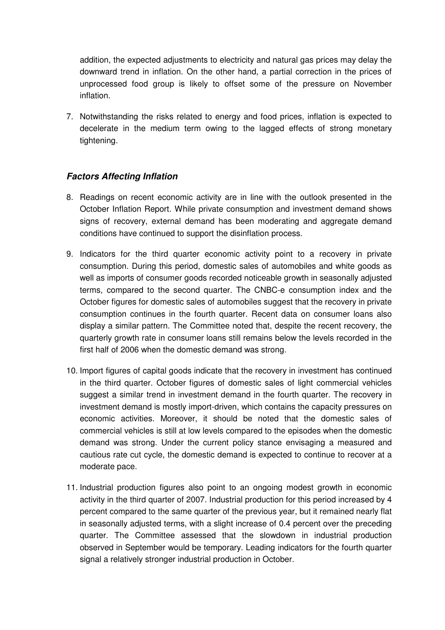addition, the expected adjustments to electricity and natural gas prices may delay the downward trend in inflation. On the other hand, a partial correction in the prices of unprocessed food group is likely to offset some of the pressure on November inflation.

7. Notwithstanding the risks related to energy and food prices, inflation is expected to decelerate in the medium term owing to the lagged effects of strong monetary tightening.

## *Factors Affecting Inflation*

- 8. Readings on recent economic activity are in line with the outlook presented in the October Inflation Report. While private consumption and investment demand shows signs of recovery, external demand has been moderating and aggregate demand conditions have continued to support the disinflation process.
- 9. Indicators for the third quarter economic activity point to a recovery in private consumption. During this period, domestic sales of automobiles and white goods as well as imports of consumer goods recorded noticeable growth in seasonally adjusted terms, compared to the second quarter. The CNBC-e consumption index and the October figures for domestic sales of automobiles suggest that the recovery in private consumption continues in the fourth quarter. Recent data on consumer loans also display a similar pattern. The Committee noted that, despite the recent recovery, the quarterly growth rate in consumer loans still remains below the levels recorded in the first half of 2006 when the domestic demand was strong.
- 10. Import figures of capital goods indicate that the recovery in investment has continued in the third quarter. October figures of domestic sales of light commercial vehicles suggest a similar trend in investment demand in the fourth quarter. The recovery in investment demand is mostly import-driven, which contains the capacity pressures on economic activities. Moreover, it should be noted that the domestic sales of commercial vehicles is still at low levels compared to the episodes when the domestic demand was strong. Under the current policy stance envisaging a measured and cautious rate cut cycle, the domestic demand is expected to continue to recover at a moderate pace.
- 11. Industrial production figures also point to an ongoing modest growth in economic activity in the third quarter of 2007. Industrial production for this period increased by 4 percent compared to the same quarter of the previous year, but it remained nearly flat in seasonally adjusted terms, with a slight increase of 0.4 percent over the preceding quarter. The Committee assessed that the slowdown in industrial production observed in September would be temporary. Leading indicators for the fourth quarter signal a relatively stronger industrial production in October.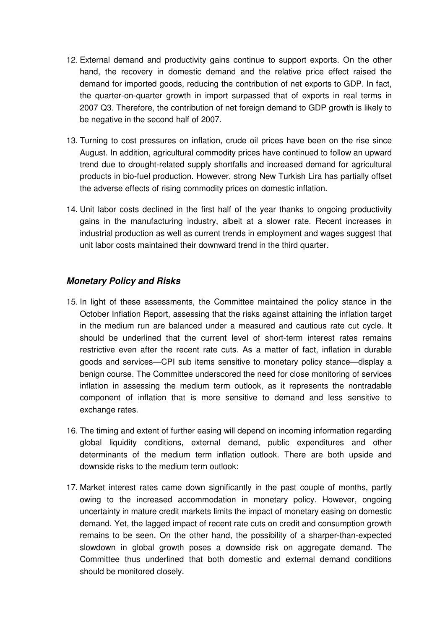- 12. External demand and productivity gains continue to support exports. On the other hand, the recovery in domestic demand and the relative price effect raised the demand for imported goods, reducing the contribution of net exports to GDP. In fact, the quarter-on-quarter growth in import surpassed that of exports in real terms in 2007 Q3. Therefore, the contribution of net foreign demand to GDP growth is likely to be negative in the second half of 2007.
- 13. Turning to cost pressures on inflation, crude oil prices have been on the rise since August. In addition, agricultural commodity prices have continued to follow an upward trend due to drought-related supply shortfalls and increased demand for agricultural products in bio-fuel production. However, strong New Turkish Lira has partially offset the adverse effects of rising commodity prices on domestic inflation.
- 14. Unit labor costs declined in the first half of the year thanks to ongoing productivity gains in the manufacturing industry, albeit at a slower rate. Recent increases in industrial production as well as current trends in employment and wages suggest that unit labor costs maintained their downward trend in the third quarter.

## *Monetary Policy and Risks*

- 15. In light of these assessments, the Committee maintained the policy stance in the October Inflation Report, assessing that the risks against attaining the inflation target in the medium run are balanced under a measured and cautious rate cut cycle. It should be underlined that the current level of short-term interest rates remains restrictive even after the recent rate cuts. As a matter of fact, inflation in durable goods and services—CPI sub items sensitive to monetary policy stance—display a benign course. The Committee underscored the need for close monitoring of services inflation in assessing the medium term outlook, as it represents the nontradable component of inflation that is more sensitive to demand and less sensitive to exchange rates.
- 16. The timing and extent of further easing will depend on incoming information regarding global liquidity conditions, external demand, public expenditures and other determinants of the medium term inflation outlook. There are both upside and downside risks to the medium term outlook:
- 17. Market interest rates came down significantly in the past couple of months, partly owing to the increased accommodation in monetary policy. However, ongoing uncertainty in mature credit markets limits the impact of monetary easing on domestic demand. Yet, the lagged impact of recent rate cuts on credit and consumption growth remains to be seen. On the other hand, the possibility of a sharper-than-expected slowdown in global growth poses a downside risk on aggregate demand. The Committee thus underlined that both domestic and external demand conditions should be monitored closely.